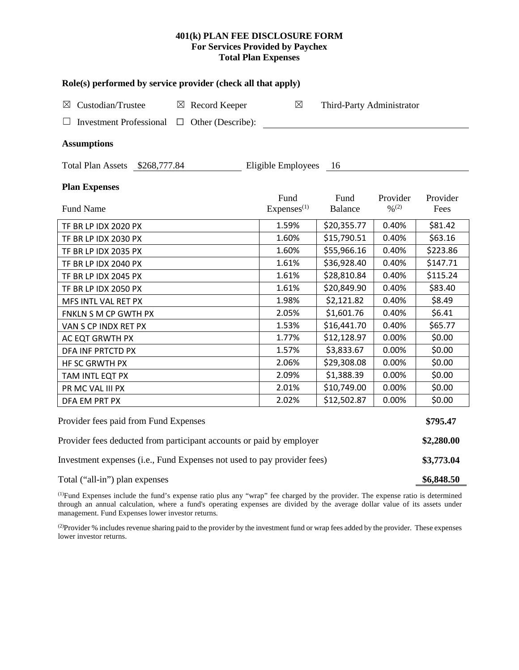# **401(k) PLAN FEE DISCLOSURE FORM For Services Provided by Paychex Total Plan Expenses**

| Custodian/Trustee<br>$\boxtimes$                                        |        | $\boxtimes$ Record Keeper | Role(s) performed by service provider (check all that apply)<br>$\boxtimes$<br>Third-Party Administrator |             |                              |            |
|-------------------------------------------------------------------------|--------|---------------------------|----------------------------------------------------------------------------------------------------------|-------------|------------------------------|------------|
|                                                                         |        |                           |                                                                                                          |             |                              |            |
| <b>Investment Professional</b>                                          | $\Box$ | Other (Describe):         |                                                                                                          |             |                              |            |
| <b>Assumptions</b>                                                      |        |                           |                                                                                                          |             |                              |            |
| Total Plan Assets \$268,777.84                                          |        |                           | Eligible Employees                                                                                       | - 16        |                              |            |
| <b>Plan Expenses</b>                                                    |        |                           |                                                                                                          |             |                              |            |
|                                                                         |        |                           | Fund                                                                                                     | Fund        | Provider                     | Provider   |
| Fund Name                                                               |        |                           | Express <sup>(1)</sup>                                                                                   | Balance     | $\frac{0}{2}$ <sup>(2)</sup> | Fees       |
| TF BR LP IDX 2020 PX                                                    |        |                           | 1.59%                                                                                                    | \$20,355.77 | 0.40%                        | \$81.42    |
| TF BR LP IDX 2030 PX                                                    |        |                           | 1.60%                                                                                                    | \$15,790.51 | 0.40%                        | \$63.16    |
| TF BR LP IDX 2035 PX                                                    |        |                           | 1.60%                                                                                                    | \$55,966.16 | 0.40%                        | \$223.86   |
| TF BR LP IDX 2040 PX                                                    |        |                           | 1.61%                                                                                                    | \$36,928.40 | 0.40%                        | \$147.71   |
| TF BR LP IDX 2045 PX                                                    |        |                           | 1.61%                                                                                                    | \$28,810.84 | 0.40%                        | \$115.24   |
| TF BR LP IDX 2050 PX                                                    |        |                           | 1.61%                                                                                                    | \$20,849.90 | 0.40%                        | \$83.40    |
| MFS INTL VAL RET PX                                                     |        |                           | 1.98%                                                                                                    | \$2,121.82  | 0.40%                        | \$8.49     |
| FNKLN S M CP GWTH PX                                                    |        |                           | 2.05%                                                                                                    | \$1,601.76  | 0.40%                        | \$6.41     |
| VAN S CP INDX RET PX                                                    |        |                           | 1.53%                                                                                                    | \$16,441.70 | 0.40%                        | \$65.77    |
| AC EQT GRWTH PX                                                         |        |                           | 1.77%                                                                                                    | \$12,128.97 | 0.00%                        | \$0.00     |
| DFA INF PRTCTD PX                                                       |        |                           | 1.57%                                                                                                    | \$3,833.67  | 0.00%                        | \$0.00     |
| HF SC GRWTH PX                                                          |        |                           | 2.06%                                                                                                    | \$29,308.08 | 0.00%                        | \$0.00     |
| TAM INTL EQT PX                                                         |        |                           | 2.09%                                                                                                    | \$1,388.39  | 0.00%                        | \$0.00     |
| PR MC VAL III PX                                                        |        |                           | 2.01%                                                                                                    | \$10,749.00 | 0.00%                        | \$0.00     |
| DFA EM PRT PX                                                           |        |                           | 2.02%                                                                                                    | \$12,502.87 | 0.00%                        | \$0.00     |
| Provider fees paid from Fund Expenses                                   |        |                           |                                                                                                          |             |                              | \$795.47   |
| Provider fees deducted from participant accounts or paid by employer    |        |                           |                                                                                                          |             |                              | \$2,280.00 |
| Investment expenses (i.e., Fund Expenses not used to pay provider fees) |        |                           |                                                                                                          |             |                              | \$3,773.04 |

Total ("all-in") plan expenses **\$6,848.50** 

(1) Fund Expenses include the fund's expense ratio plus any "wrap" fee charged by the provider. The expense ratio is determined through an annual calculation, where a fund's operating expenses are divided by the average dollar value of its assets under management. Fund Expenses lower investor returns.

(2) Provider % includes revenue sharing paid to the provider by the investment fund or wrap fees added by the provider. These expenses lower investor returns.